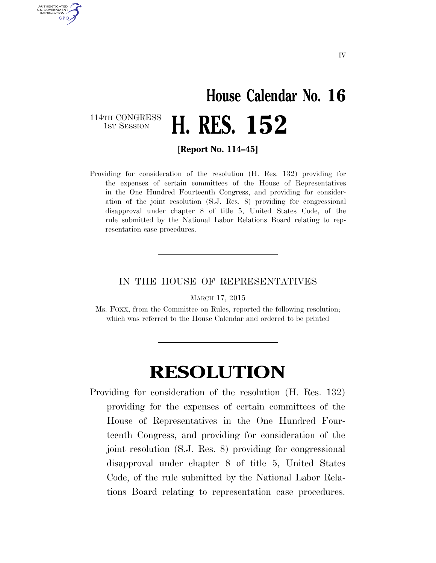## **House Calendar No. 16 H. RES. 152**

114TH CONGRESS<br>1st Session

AUTHENTICATED U.S. GOVERNMENT **GPO** 

**[Report No. 114–45]** 

Providing for consideration of the resolution (H. Res. 132) providing for the expenses of certain committees of the House of Representatives in the One Hundred Fourteenth Congress, and providing for consideration of the joint resolution (S.J. Res. 8) providing for congressional disapproval under chapter 8 of title 5, United States Code, of the rule submitted by the National Labor Relations Board relating to representation case procedures.

## IN THE HOUSE OF REPRESENTATIVES

MARCH 17, 2015

Ms. FOXX, from the Committee on Rules, reported the following resolution; which was referred to the House Calendar and ordered to be printed

## **RESOLUTION**

Providing for consideration of the resolution (H. Res. 132) providing for the expenses of certain committees of the House of Representatives in the One Hundred Fourteenth Congress, and providing for consideration of the joint resolution (S.J. Res. 8) providing for congressional disapproval under chapter 8 of title 5, United States Code, of the rule submitted by the National Labor Relations Board relating to representation case procedures.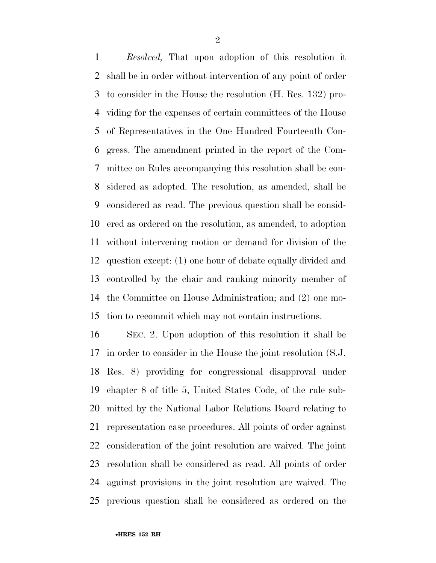*Resolved,* That upon adoption of this resolution it shall be in order without intervention of any point of order to consider in the House the resolution (H. Res. 132) pro- viding for the expenses of certain committees of the House of Representatives in the One Hundred Fourteenth Con- gress. The amendment printed in the report of the Com- mittee on Rules accompanying this resolution shall be con- sidered as adopted. The resolution, as amended, shall be considered as read. The previous question shall be consid- ered as ordered on the resolution, as amended, to adoption without intervening motion or demand for division of the question except: (1) one hour of debate equally divided and controlled by the chair and ranking minority member of the Committee on House Administration; and (2) one mo-tion to recommit which may not contain instructions.

 SEC. 2. Upon adoption of this resolution it shall be in order to consider in the House the joint resolution (S.J. Res. 8) providing for congressional disapproval under chapter 8 of title 5, United States Code, of the rule sub- mitted by the National Labor Relations Board relating to representation case procedures. All points of order against consideration of the joint resolution are waived. The joint resolution shall be considered as read. All points of order against provisions in the joint resolution are waived. The previous question shall be considered as ordered on the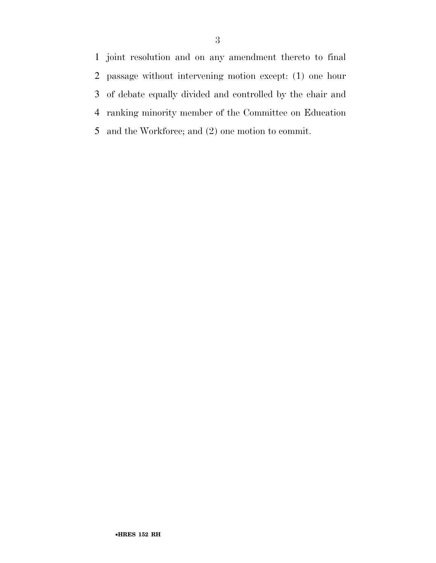joint resolution and on any amendment thereto to final passage without intervening motion except: (1) one hour of debate equally divided and controlled by the chair and ranking minority member of the Committee on Education and the Workforce; and (2) one motion to commit.